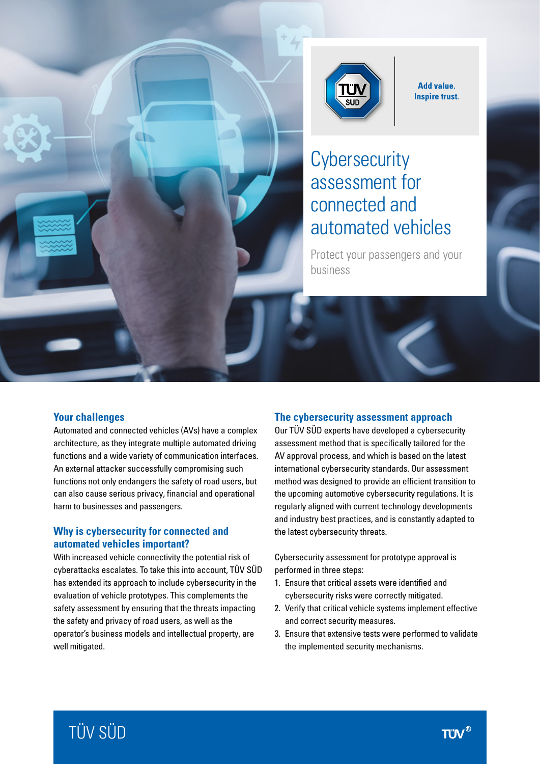

**Add value. Inspire trust.** 

# **Cybersecurity** assessment for connected and automated vehicles

Protect your passengers and your business

#### **Your challenges**

Automated and connected vehicles (AVs) have a complex architecture, as they integrate multiple automated driving functions and a wide variety of communication interfaces. An external attacker successfully compromising such functions not only endangers the safety of road users, but can also cause serious privacy, financial and operational harm to businesses and passengers.

er-

#### **Why is cybersecurity for connected and automated vehicles important?**

With increased vehicle connectivity the potential risk of cyberattacks escalates. To take this into account, TÜV SÜD has extended its approach to include cybersecurity in the evaluation of vehicle prototypes. This complements the safety assessment by ensuring that the threats impacting the safety and privacy of road users, as well as the operator's business models and intellectual property, are well mitigated.

#### **The cybersecurity assessment approach**

Our TÜV SÜD experts have developed a cybersecurity assessment method that is specifically tailored for the AV approval process, and which is based on the latest international cybersecurity standards. Our assessment method was designed to provide an efficient transition to the upcoming automotive cybersecurity regulations. It is regularly aligned with current technology developments and industry best practices, and is constantly adapted to the latest cybersecurity threats.

Cybersecurity assessment for prototype approval is performed in three steps:

- 1. Ensure that critical assets were identified and cybersecurity risks were correctly mitigated.
- 2. Verify that critical vehicle systems implement effective and correct security measures.
- 3. Ensure that extensive tests were performed to validate the implemented security mechanisms.

# TÜV SÜD